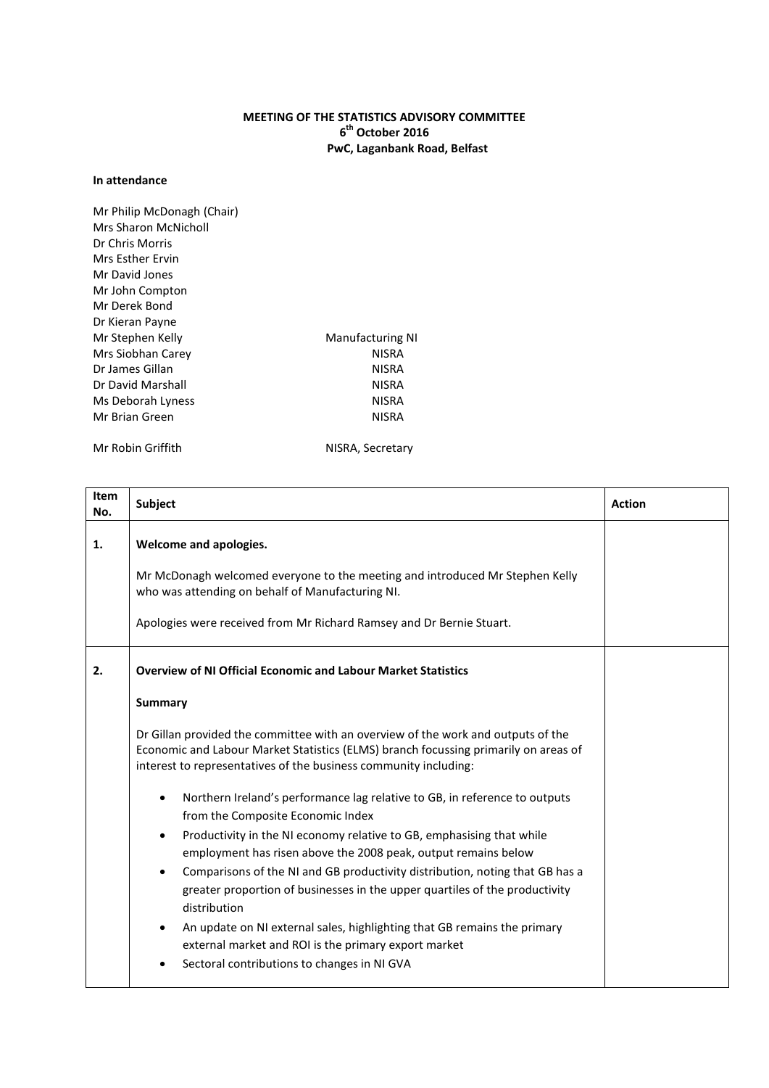## **MEETING OF THE STATISTICS ADVISORY COMMITTEE 6 th October 2016 PwC, Laganbank Road, Belfast**

## **In attendance**

| Mr Philip McDonagh (Chair) |                         |
|----------------------------|-------------------------|
| Mrs Sharon McNicholl       |                         |
| Dr Chris Morris            |                         |
| Mrs Esther Frvin           |                         |
| Mr David Jones             |                         |
| Mr John Compton            |                         |
| Mr Derek Bond              |                         |
| Dr Kieran Payne            |                         |
| Mr Stephen Kelly           | <b>Manufacturing NI</b> |
| Mrs Siobhan Carey          | <b>NISRA</b>            |
| Dr James Gillan            | <b>NISRA</b>            |
| Dr David Marshall          | <b>NISRA</b>            |
| Ms Deborah Lyness          | <b>NISRA</b>            |
| Mr Brian Green             | NISRA                   |
|                            |                         |

Mr Robin Griffith NISRA, Secretary

| Item<br>No. | Subject                                                                                                                                                                                                                                                                                                                                                                                                                                                                                                                                                                                                                                                                                                                                                                            | <b>Action</b> |
|-------------|------------------------------------------------------------------------------------------------------------------------------------------------------------------------------------------------------------------------------------------------------------------------------------------------------------------------------------------------------------------------------------------------------------------------------------------------------------------------------------------------------------------------------------------------------------------------------------------------------------------------------------------------------------------------------------------------------------------------------------------------------------------------------------|---------------|
| 1.          | Welcome and apologies.<br>Mr McDonagh welcomed everyone to the meeting and introduced Mr Stephen Kelly<br>who was attending on behalf of Manufacturing NI.<br>Apologies were received from Mr Richard Ramsey and Dr Bernie Stuart.                                                                                                                                                                                                                                                                                                                                                                                                                                                                                                                                                 |               |
| 2.          | <b>Overview of NI Official Economic and Labour Market Statistics</b><br><b>Summary</b><br>Dr Gillan provided the committee with an overview of the work and outputs of the<br>Economic and Labour Market Statistics (ELMS) branch focussing primarily on areas of<br>interest to representatives of the business community including:<br>Northern Ireland's performance lag relative to GB, in reference to outputs<br>from the Composite Economic Index<br>Productivity in the NI economy relative to GB, emphasising that while<br>employment has risen above the 2008 peak, output remains below<br>Comparisons of the NI and GB productivity distribution, noting that GB has a<br>greater proportion of businesses in the upper quartiles of the productivity<br>distribution |               |
|             | An update on NI external sales, highlighting that GB remains the primary<br>external market and ROI is the primary export market<br>Sectoral contributions to changes in NI GVA                                                                                                                                                                                                                                                                                                                                                                                                                                                                                                                                                                                                    |               |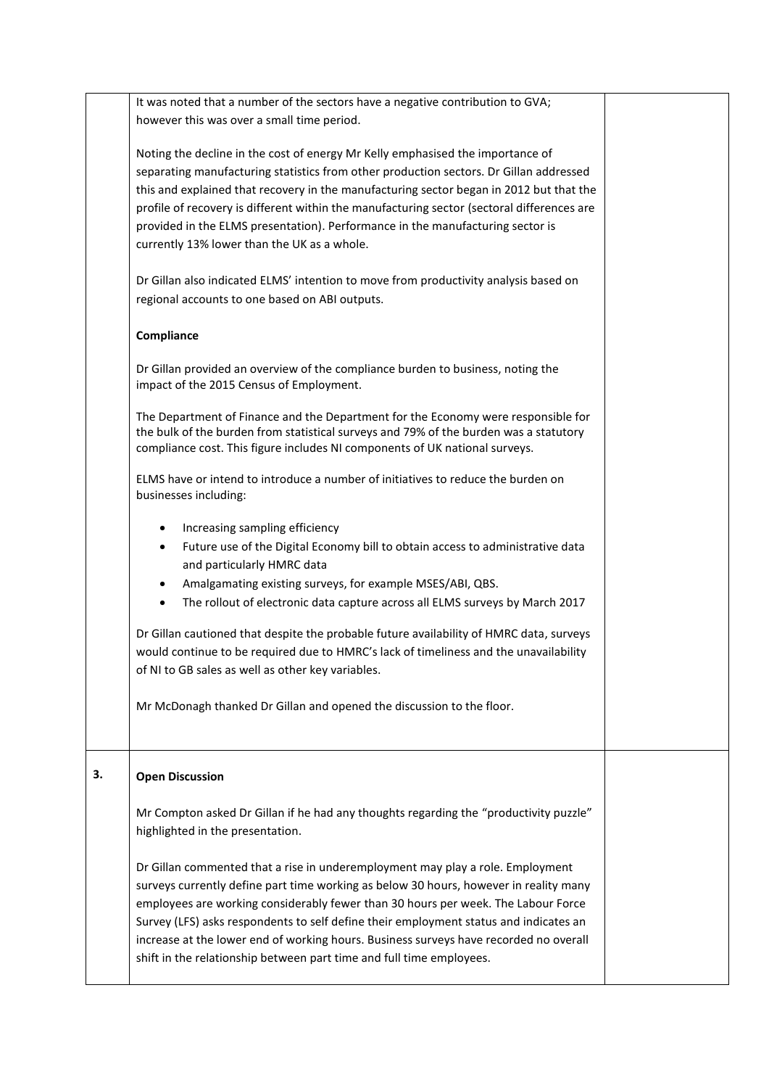It was noted that a number of the sectors have a negative contribution to GVA; however this was over a small time period.

Noting the decline in the cost of energy Mr Kelly emphasised the importance of separating manufacturing statistics from other production sectors. Dr Gillan addressed this and explained that recovery in the manufacturing sector began in 2012 but that the profile of recovery is different within the manufacturing sector (sectoral differences are provided in the ELMS presentation). Performance in the manufacturing sector is currently 13% lower than the UK as a whole.

Dr Gillan also indicated ELMS' intention to move from productivity analysis based on regional accounts to one based on ABI outputs.

## **Compliance**

Dr Gillan provided an overview of the compliance burden to business, noting the impact of the 2015 Census of Employment.

The Department of Finance and the Department for the Economy were responsible for the bulk of the burden from statistical surveys and 79% of the burden was a statutory compliance cost. This figure includes NI components of UK national surveys.

ELMS have or intend to introduce a number of initiatives to reduce the burden on businesses including:

- Increasing sampling efficiency
- Future use of the Digital Economy bill to obtain access to administrative data and particularly HMRC data
- Amalgamating existing surveys, for example MSES/ABI, QBS.
- The rollout of electronic data capture across all ELMS surveys by March 2017

Dr Gillan cautioned that despite the probable future availability of HMRC data, surveys would continue to be required due to HMRC's lack of timeliness and the unavailability of NI to GB sales as well as other key variables.

Mr McDonagh thanked Dr Gillan and opened the discussion to the floor.

## **3. Open Discussion**

Mr Compton asked Dr Gillan if he had any thoughts regarding the "productivity puzzle" highlighted in the presentation.

Dr Gillan commented that a rise in underemployment may play a role. Employment surveys currently define part time working as below 30 hours, however in reality many employees are working considerably fewer than 30 hours per week. The Labour Force Survey (LFS) asks respondents to self define their employment status and indicates an increase at the lower end of working hours. Business surveys have recorded no overall shift in the relationship between part time and full time employees.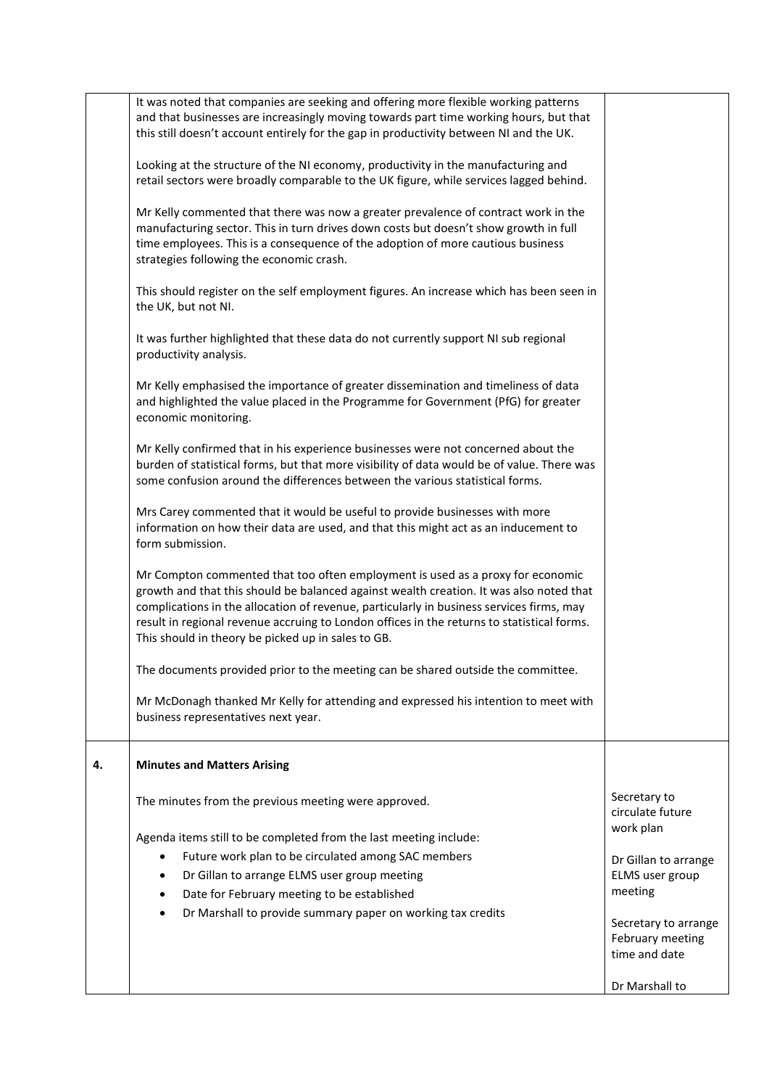|    | It was noted that companies are seeking and offering more flexible working patterns<br>and that businesses are increasingly moving towards part time working hours, but that<br>this still doesn't account entirely for the gap in productivity between NI and the UK.<br>Looking at the structure of the NI economy, productivity in the manufacturing and<br>retail sectors were broadly comparable to the UK figure, while services lagged behind. |                                                           |
|----|-------------------------------------------------------------------------------------------------------------------------------------------------------------------------------------------------------------------------------------------------------------------------------------------------------------------------------------------------------------------------------------------------------------------------------------------------------|-----------------------------------------------------------|
|    | Mr Kelly commented that there was now a greater prevalence of contract work in the<br>manufacturing sector. This in turn drives down costs but doesn't show growth in full<br>time employees. This is a consequence of the adoption of more cautious business<br>strategies following the economic crash.                                                                                                                                             |                                                           |
|    | This should register on the self employment figures. An increase which has been seen in<br>the UK, but not NI.                                                                                                                                                                                                                                                                                                                                        |                                                           |
|    | It was further highlighted that these data do not currently support NI sub regional<br>productivity analysis.                                                                                                                                                                                                                                                                                                                                         |                                                           |
|    | Mr Kelly emphasised the importance of greater dissemination and timeliness of data<br>and highlighted the value placed in the Programme for Government (PfG) for greater<br>economic monitoring.                                                                                                                                                                                                                                                      |                                                           |
|    | Mr Kelly confirmed that in his experience businesses were not concerned about the<br>burden of statistical forms, but that more visibility of data would be of value. There was<br>some confusion around the differences between the various statistical forms.                                                                                                                                                                                       |                                                           |
|    | Mrs Carey commented that it would be useful to provide businesses with more<br>information on how their data are used, and that this might act as an inducement to<br>form submission.                                                                                                                                                                                                                                                                |                                                           |
|    | Mr Compton commented that too often employment is used as a proxy for economic<br>growth and that this should be balanced against wealth creation. It was also noted that<br>complications in the allocation of revenue, particularly in business services firms, may<br>result in regional revenue accruing to London offices in the returns to statistical forms.<br>This should in theory be picked up in sales to GB.                             |                                                           |
|    | The documents provided prior to the meeting can be shared outside the committee.                                                                                                                                                                                                                                                                                                                                                                      |                                                           |
|    | Mr McDonagh thanked Mr Kelly for attending and expressed his intention to meet with<br>business representatives next year.                                                                                                                                                                                                                                                                                                                            |                                                           |
| 4. | <b>Minutes and Matters Arising</b>                                                                                                                                                                                                                                                                                                                                                                                                                    |                                                           |
|    | The minutes from the previous meeting were approved.                                                                                                                                                                                                                                                                                                                                                                                                  | Secretary to<br>circulate future                          |
|    | Agenda items still to be completed from the last meeting include:                                                                                                                                                                                                                                                                                                                                                                                     | work plan                                                 |
|    | Future work plan to be circulated among SAC members<br>٠                                                                                                                                                                                                                                                                                                                                                                                              | Dr Gillan to arrange                                      |
|    | Dr Gillan to arrange ELMS user group meeting                                                                                                                                                                                                                                                                                                                                                                                                          | ELMS user group                                           |
|    | Date for February meeting to be established<br>Dr Marshall to provide summary paper on working tax credits                                                                                                                                                                                                                                                                                                                                            | meeting                                                   |
|    |                                                                                                                                                                                                                                                                                                                                                                                                                                                       | Secretary to arrange<br>February meeting<br>time and date |
|    |                                                                                                                                                                                                                                                                                                                                                                                                                                                       | Dr Marshall to                                            |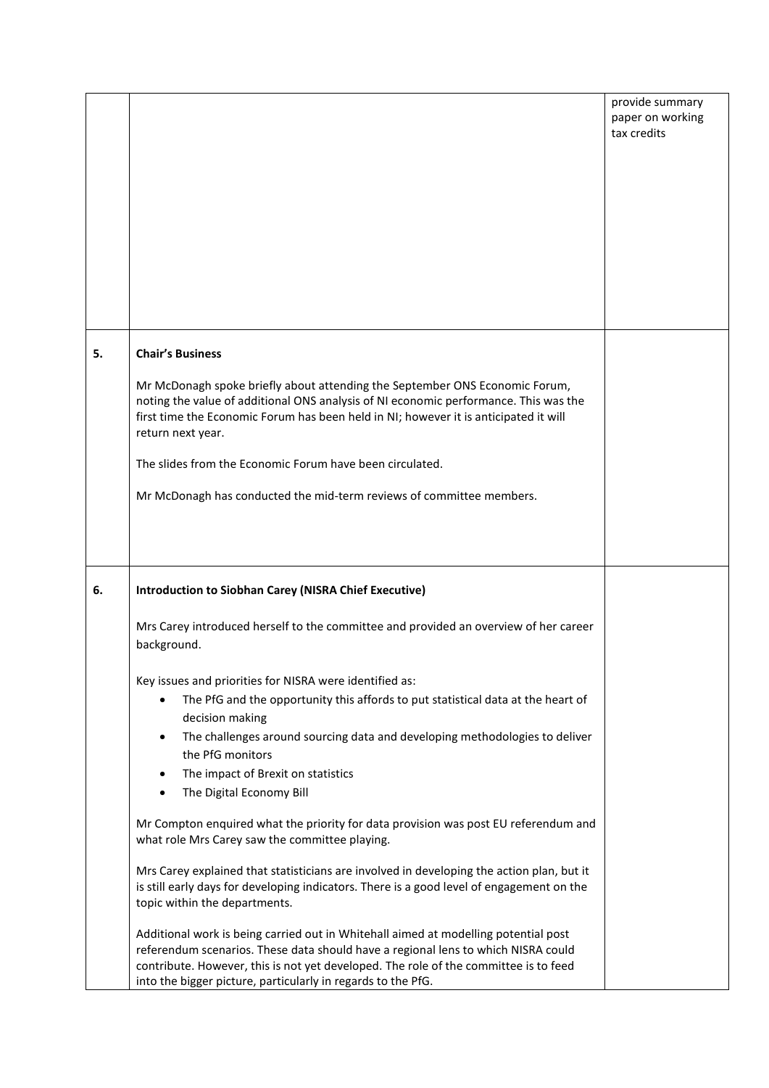|    |                                                                                                                                                                                                                                                                                                                                                                                                                                                                                                                                                                                                                                                                                                                                                                                                                                                                                                                                                                                                                                                                                                                                                                              | provide summary<br>paper on working<br>tax credits |
|----|------------------------------------------------------------------------------------------------------------------------------------------------------------------------------------------------------------------------------------------------------------------------------------------------------------------------------------------------------------------------------------------------------------------------------------------------------------------------------------------------------------------------------------------------------------------------------------------------------------------------------------------------------------------------------------------------------------------------------------------------------------------------------------------------------------------------------------------------------------------------------------------------------------------------------------------------------------------------------------------------------------------------------------------------------------------------------------------------------------------------------------------------------------------------------|----------------------------------------------------|
| 5. | <b>Chair's Business</b><br>Mr McDonagh spoke briefly about attending the September ONS Economic Forum,<br>noting the value of additional ONS analysis of NI economic performance. This was the<br>first time the Economic Forum has been held in NI; however it is anticipated it will<br>return next year.<br>The slides from the Economic Forum have been circulated.<br>Mr McDonagh has conducted the mid-term reviews of committee members.                                                                                                                                                                                                                                                                                                                                                                                                                                                                                                                                                                                                                                                                                                                              |                                                    |
| 6. | <b>Introduction to Siobhan Carey (NISRA Chief Executive)</b><br>Mrs Carey introduced herself to the committee and provided an overview of her career<br>background.<br>Key issues and priorities for NISRA were identified as:<br>The PfG and the opportunity this affords to put statistical data at the heart of<br>decision making<br>The challenges around sourcing data and developing methodologies to deliver<br>$\bullet$<br>the PfG monitors<br>The impact of Brexit on statistics<br>The Digital Economy Bill<br>$\bullet$<br>Mr Compton enquired what the priority for data provision was post EU referendum and<br>what role Mrs Carey saw the committee playing.<br>Mrs Carey explained that statisticians are involved in developing the action plan, but it<br>is still early days for developing indicators. There is a good level of engagement on the<br>topic within the departments.<br>Additional work is being carried out in Whitehall aimed at modelling potential post<br>referendum scenarios. These data should have a regional lens to which NISRA could<br>contribute. However, this is not yet developed. The role of the committee is to feed |                                                    |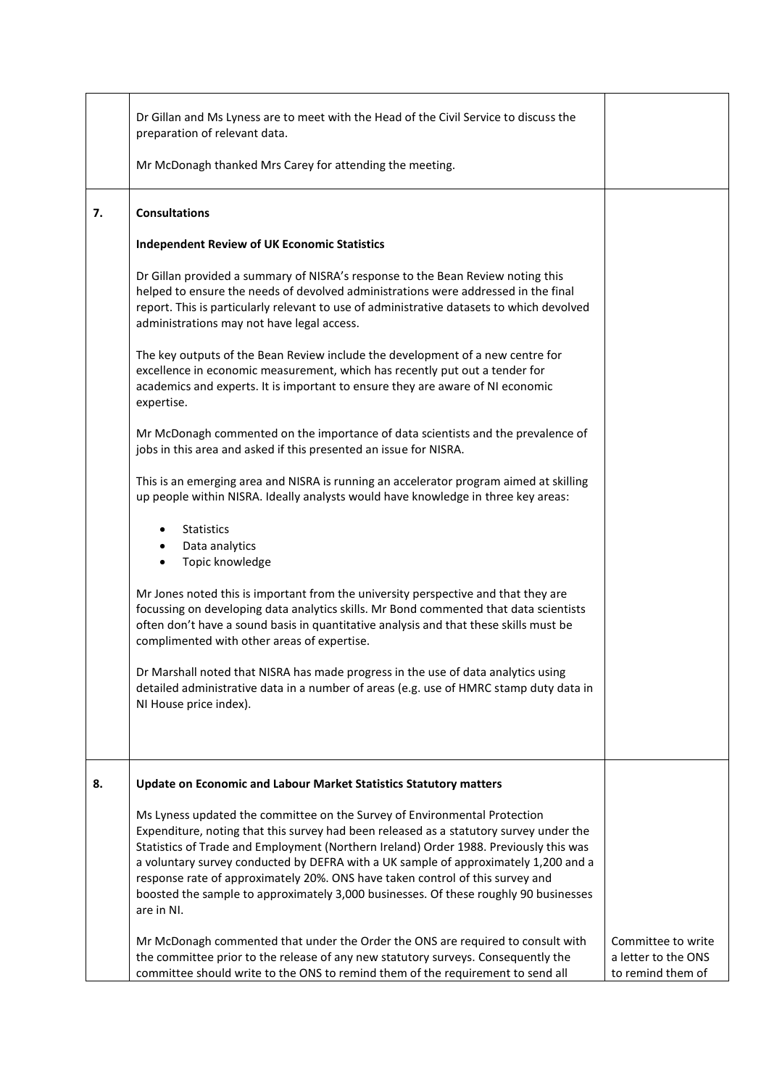|    | Dr Gillan and Ms Lyness are to meet with the Head of the Civil Service to discuss the<br>preparation of relevant data.<br>Mr McDonagh thanked Mrs Carey for attending the meeting.                                                                                                                                                                                                                                                                                                                                                                                                                                                                                                                                                                                                                                                                                                |                                                                |
|----|-----------------------------------------------------------------------------------------------------------------------------------------------------------------------------------------------------------------------------------------------------------------------------------------------------------------------------------------------------------------------------------------------------------------------------------------------------------------------------------------------------------------------------------------------------------------------------------------------------------------------------------------------------------------------------------------------------------------------------------------------------------------------------------------------------------------------------------------------------------------------------------|----------------------------------------------------------------|
| 7. | <b>Consultations</b><br><b>Independent Review of UK Economic Statistics</b><br>Dr Gillan provided a summary of NISRA's response to the Bean Review noting this<br>helped to ensure the needs of devolved administrations were addressed in the final<br>report. This is particularly relevant to use of administrative datasets to which devolved<br>administrations may not have legal access.<br>The key outputs of the Bean Review include the development of a new centre for<br>excellence in economic measurement, which has recently put out a tender for<br>academics and experts. It is important to ensure they are aware of NI economic<br>expertise.<br>Mr McDonagh commented on the importance of data scientists and the prevalence of<br>jobs in this area and asked if this presented an issue for NISRA.                                                         |                                                                |
|    | This is an emerging area and NISRA is running an accelerator program aimed at skilling<br>up people within NISRA. Ideally analysts would have knowledge in three key areas:<br><b>Statistics</b><br>Data analytics<br>$\bullet$<br>Topic knowledge<br>Mr Jones noted this is important from the university perspective and that they are<br>focussing on developing data analytics skills. Mr Bond commented that data scientists<br>often don't have a sound basis in quantitative analysis and that these skills must be<br>complimented with other areas of expertise.<br>Dr Marshall noted that NISRA has made progress in the use of data analytics using<br>detailed administrative data in a number of areas (e.g. use of HMRC stamp duty data in<br>NI House price index).                                                                                                |                                                                |
| 8. | <b>Update on Economic and Labour Market Statistics Statutory matters</b><br>Ms Lyness updated the committee on the Survey of Environmental Protection<br>Expenditure, noting that this survey had been released as a statutory survey under the<br>Statistics of Trade and Employment (Northern Ireland) Order 1988. Previously this was<br>a voluntary survey conducted by DEFRA with a UK sample of approximately 1,200 and a<br>response rate of approximately 20%. ONS have taken control of this survey and<br>boosted the sample to approximately 3,000 businesses. Of these roughly 90 businesses<br>are in NI.<br>Mr McDonagh commented that under the Order the ONS are required to consult with<br>the committee prior to the release of any new statutory surveys. Consequently the<br>committee should write to the ONS to remind them of the requirement to send all | Committee to write<br>a letter to the ONS<br>to remind them of |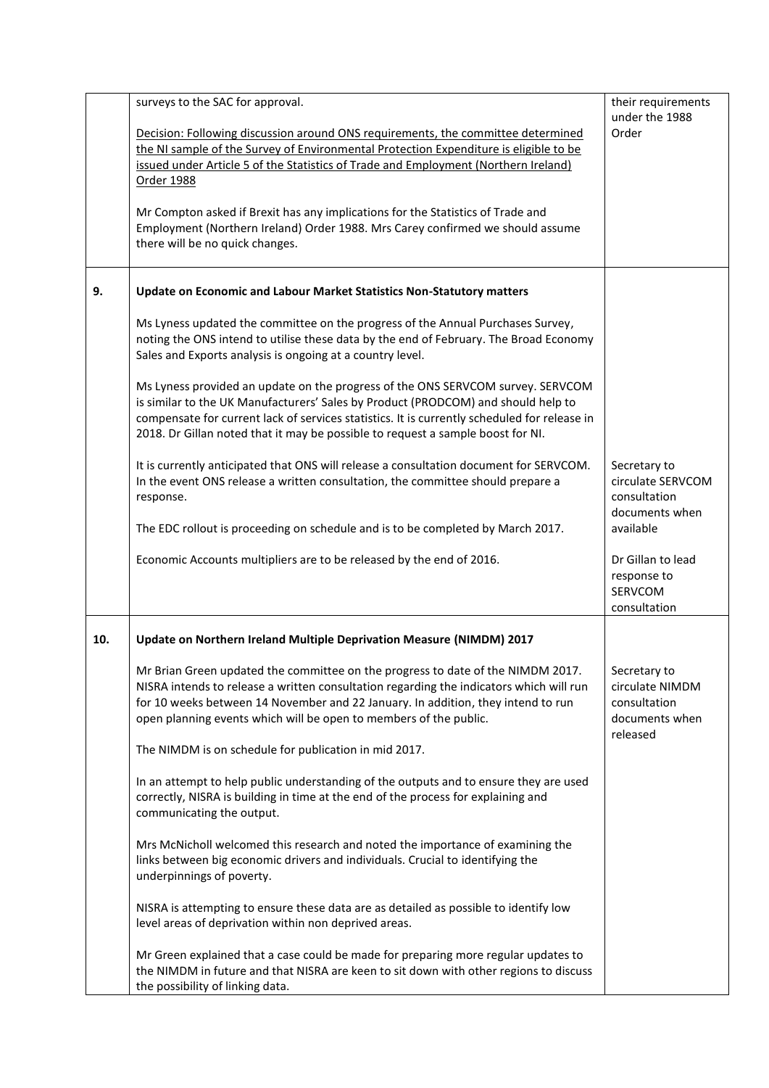|     | surveys to the SAC for approval.<br>Decision: Following discussion around ONS requirements, the committee determined<br>the NI sample of the Survey of Environmental Protection Expenditure is eligible to be<br>issued under Article 5 of the Statistics of Trade and Employment (Northern Ireland)<br>Order 1988<br>Mr Compton asked if Brexit has any implications for the Statistics of Trade and<br>Employment (Northern Ireland) Order 1988. Mrs Carey confirmed we should assume<br>there will be no quick changes. | their requirements<br>under the 1988<br>Order                                 |
|-----|----------------------------------------------------------------------------------------------------------------------------------------------------------------------------------------------------------------------------------------------------------------------------------------------------------------------------------------------------------------------------------------------------------------------------------------------------------------------------------------------------------------------------|-------------------------------------------------------------------------------|
| 9.  | Update on Economic and Labour Market Statistics Non-Statutory matters                                                                                                                                                                                                                                                                                                                                                                                                                                                      |                                                                               |
|     | Ms Lyness updated the committee on the progress of the Annual Purchases Survey,<br>noting the ONS intend to utilise these data by the end of February. The Broad Economy<br>Sales and Exports analysis is ongoing at a country level.                                                                                                                                                                                                                                                                                      |                                                                               |
|     | Ms Lyness provided an update on the progress of the ONS SERVCOM survey. SERVCOM<br>is similar to the UK Manufacturers' Sales by Product (PRODCOM) and should help to<br>compensate for current lack of services statistics. It is currently scheduled for release in<br>2018. Dr Gillan noted that it may be possible to request a sample boost for NI.                                                                                                                                                                    |                                                                               |
|     | It is currently anticipated that ONS will release a consultation document for SERVCOM.<br>In the event ONS release a written consultation, the committee should prepare a<br>response.                                                                                                                                                                                                                                                                                                                                     | Secretary to<br>circulate SERVCOM<br>consultation<br>documents when           |
|     | The EDC rollout is proceeding on schedule and is to be completed by March 2017.                                                                                                                                                                                                                                                                                                                                                                                                                                            | available                                                                     |
|     | Economic Accounts multipliers are to be released by the end of 2016.                                                                                                                                                                                                                                                                                                                                                                                                                                                       | Dr Gillan to lead<br>response to<br>SERVCOM<br>consultation                   |
| 10. | Update on Northern Ireland Multiple Deprivation Measure (NIMDM) 2017                                                                                                                                                                                                                                                                                                                                                                                                                                                       |                                                                               |
|     | Mr Brian Green updated the committee on the progress to date of the NIMDM 2017.<br>NISRA intends to release a written consultation regarding the indicators which will run<br>for 10 weeks between 14 November and 22 January. In addition, they intend to run<br>open planning events which will be open to members of the public.                                                                                                                                                                                        | Secretary to<br>circulate NIMDM<br>consultation<br>documents when<br>released |
|     | The NIMDM is on schedule for publication in mid 2017.                                                                                                                                                                                                                                                                                                                                                                                                                                                                      |                                                                               |
|     | In an attempt to help public understanding of the outputs and to ensure they are used<br>correctly, NISRA is building in time at the end of the process for explaining and<br>communicating the output.                                                                                                                                                                                                                                                                                                                    |                                                                               |
|     | Mrs McNicholl welcomed this research and noted the importance of examining the<br>links between big economic drivers and individuals. Crucial to identifying the<br>underpinnings of poverty.                                                                                                                                                                                                                                                                                                                              |                                                                               |
|     | NISRA is attempting to ensure these data are as detailed as possible to identify low<br>level areas of deprivation within non deprived areas.                                                                                                                                                                                                                                                                                                                                                                              |                                                                               |
|     | Mr Green explained that a case could be made for preparing more regular updates to<br>the NIMDM in future and that NISRA are keen to sit down with other regions to discuss<br>the possibility of linking data.                                                                                                                                                                                                                                                                                                            |                                                                               |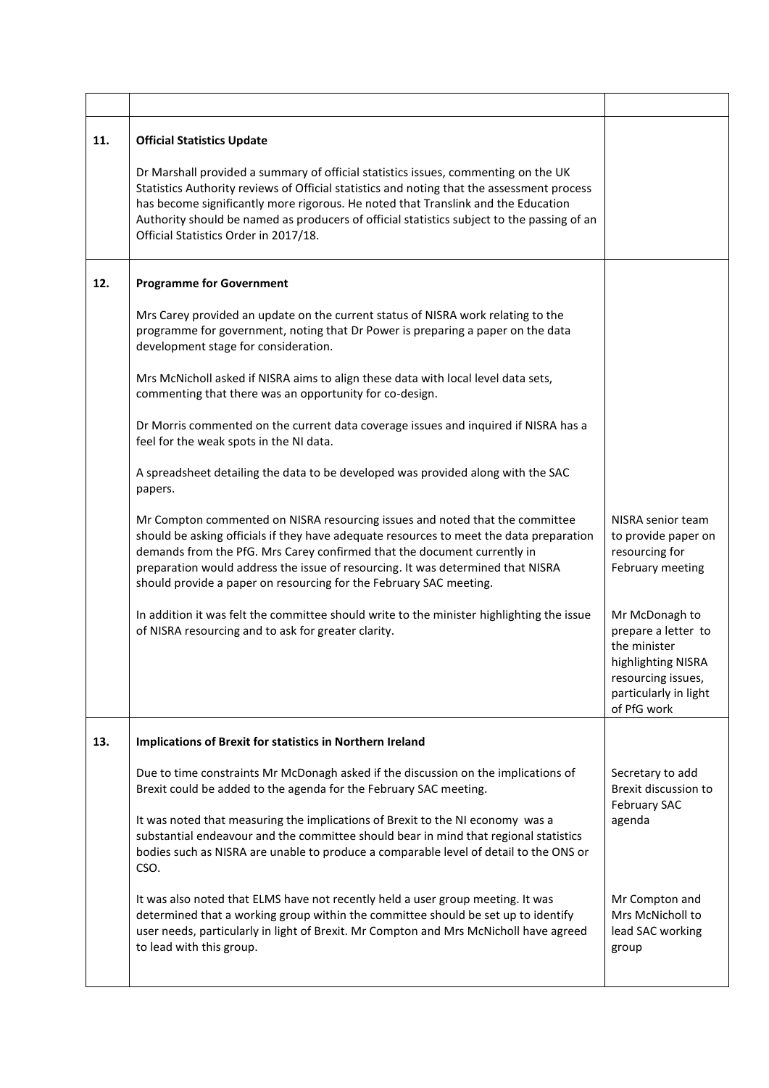| 11. | <b>Official Statistics Update</b>                                                                                                                                                                                                                                                                                                                                                                            |                                                                                                                                           |
|-----|--------------------------------------------------------------------------------------------------------------------------------------------------------------------------------------------------------------------------------------------------------------------------------------------------------------------------------------------------------------------------------------------------------------|-------------------------------------------------------------------------------------------------------------------------------------------|
|     | Dr Marshall provided a summary of official statistics issues, commenting on the UK<br>Statistics Authority reviews of Official statistics and noting that the assessment process<br>has become significantly more rigorous. He noted that Translink and the Education<br>Authority should be named as producers of official statistics subject to the passing of an<br>Official Statistics Order in 2017/18. |                                                                                                                                           |
| 12. | <b>Programme for Government</b>                                                                                                                                                                                                                                                                                                                                                                              |                                                                                                                                           |
|     | Mrs Carey provided an update on the current status of NISRA work relating to the<br>programme for government, noting that Dr Power is preparing a paper on the data<br>development stage for consideration.                                                                                                                                                                                                  |                                                                                                                                           |
|     | Mrs McNicholl asked if NISRA aims to align these data with local level data sets,<br>commenting that there was an opportunity for co-design.                                                                                                                                                                                                                                                                 |                                                                                                                                           |
|     | Dr Morris commented on the current data coverage issues and inquired if NISRA has a<br>feel for the weak spots in the NI data.                                                                                                                                                                                                                                                                               |                                                                                                                                           |
|     | A spreadsheet detailing the data to be developed was provided along with the SAC<br>papers.                                                                                                                                                                                                                                                                                                                  |                                                                                                                                           |
|     | Mr Compton commented on NISRA resourcing issues and noted that the committee<br>should be asking officials if they have adequate resources to meet the data preparation<br>demands from the PfG. Mrs Carey confirmed that the document currently in<br>preparation would address the issue of resourcing. It was determined that NISRA<br>should provide a paper on resourcing for the February SAC meeting. | NISRA senior team<br>to provide paper on<br>resourcing for<br>February meeting                                                            |
|     | In addition it was felt the committee should write to the minister highlighting the issue<br>of NISRA resourcing and to ask for greater clarity.                                                                                                                                                                                                                                                             | Mr McDonagh to<br>prepare a letter to<br>the minister<br>highlighting NISRA<br>resourcing issues,<br>particularly in light<br>of PfG work |
| 13. | Implications of Brexit for statistics in Northern Ireland                                                                                                                                                                                                                                                                                                                                                    |                                                                                                                                           |
|     | Due to time constraints Mr McDonagh asked if the discussion on the implications of<br>Brexit could be added to the agenda for the February SAC meeting.                                                                                                                                                                                                                                                      | Secretary to add<br>Brexit discussion to<br><b>February SAC</b>                                                                           |
|     | It was noted that measuring the implications of Brexit to the NI economy was a<br>substantial endeavour and the committee should bear in mind that regional statistics<br>bodies such as NISRA are unable to produce a comparable level of detail to the ONS or<br>CSO.                                                                                                                                      | agenda                                                                                                                                    |
|     | It was also noted that ELMS have not recently held a user group meeting. It was<br>determined that a working group within the committee should be set up to identify<br>user needs, particularly in light of Brexit. Mr Compton and Mrs McNicholl have agreed<br>to lead with this group.                                                                                                                    | Mr Compton and<br>Mrs McNicholl to<br>lead SAC working<br>group                                                                           |